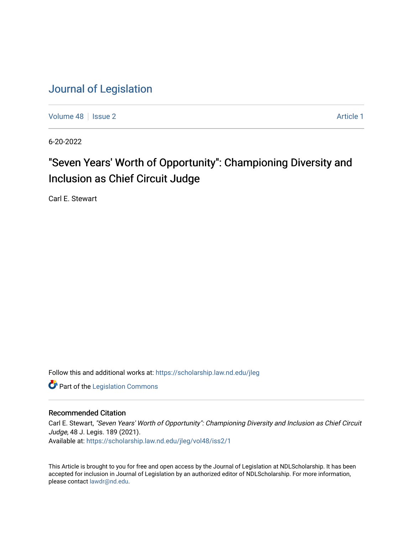[Volume 48](https://scholarship.law.nd.edu/jleg/vol48) | [Issue 2](https://scholarship.law.nd.edu/jleg/vol48/iss2) Article 1

6-20-2022

# "Seven Years' Worth of Opportunity": Championing Diversity and Inclusion as Chief Circuit Judge

Carl E. Stewart

Follow this and additional works at: [https://scholarship.law.nd.edu/jleg](https://scholarship.law.nd.edu/jleg?utm_source=scholarship.law.nd.edu%2Fjleg%2Fvol48%2Fiss2%2F1&utm_medium=PDF&utm_campaign=PDFCoverPages) 

**Part of the [Legislation Commons](https://network.bepress.com/hgg/discipline/859?utm_source=scholarship.law.nd.edu%2Fjleg%2Fvol48%2Fiss2%2F1&utm_medium=PDF&utm_campaign=PDFCoverPages)** 

#### Recommended Citation

Carl E. Stewart, "Seven Years' Worth of Opportunity": Championing Diversity and Inclusion as Chief Circuit Judge, 48 J. Legis. 189 (2021). Available at: [https://scholarship.law.nd.edu/jleg/vol48/iss2/1](https://scholarship.law.nd.edu/jleg/vol48/iss2/1?utm_source=scholarship.law.nd.edu%2Fjleg%2Fvol48%2Fiss2%2F1&utm_medium=PDF&utm_campaign=PDFCoverPages) 

This Article is brought to you for free and open access by the Journal of Legislation at NDLScholarship. It has been accepted for inclusion in Journal of Legislation by an authorized editor of NDLScholarship. For more information, please contact [lawdr@nd.edu](mailto:lawdr@nd.edu).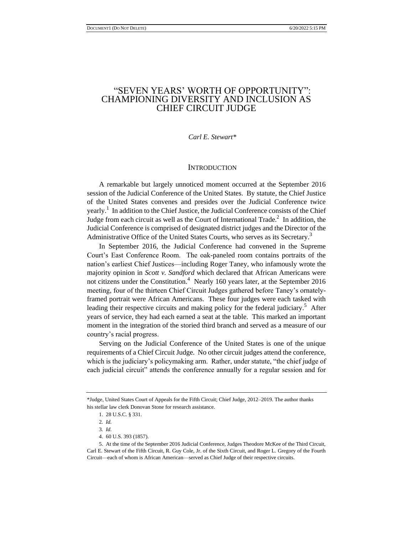### "SEVEN YEARS' WORTH OF OPPORTUNITY": CHAMPIONING DIVERSITY AND INCLUSION AS CHIEF CIRCUIT JUDGE

#### *Carl E. Stewart\**

#### **INTRODUCTION**

A remarkable but largely unnoticed moment occurred at the September 2016 session of the Judicial Conference of the United States. By statute, the Chief Justice of the United States convenes and presides over the Judicial Conference twice yearly.<sup>1</sup> In addition to the Chief Justice, the Judicial Conference consists of the Chief Judge from each circuit as well as the Court of International Trade. $^2$  In addition, the Judicial Conference is comprised of designated district judges and the Director of the Administrative Office of the United States Courts, who serves as its Secretary.<sup>3</sup>

In September 2016, the Judicial Conference had convened in the Supreme Court's East Conference Room. The oak-paneled room contains portraits of the nation's earliest Chief Justices—including Roger Taney, who infamously wrote the majority opinion in *Scott v. Sandford* which declared that African Americans were not citizens under the Constitution.<sup>4</sup> Nearly 160 years later, at the September 2016 meeting, four of the thirteen Chief Circuit Judges gathered before Taney's ornatelyframed portrait were African Americans. These four judges were each tasked with leading their respective circuits and making policy for the federal judiciary.<sup>5</sup> After years of service, they had each earned a seat at the table. This marked an important moment in the integration of the storied third branch and served as a measure of our country's racial progress.

Serving on the Judicial Conference of the United States is one of the unique requirements of a Chief Circuit Judge. No other circuit judges attend the conference, which is the judiciary's policymaking arm. Rather, under statute, "the chief judge of each judicial circuit" attends the conference annually for a regular session and for

<sup>\*</sup>Judge, United States Court of Appeals for the Fifth Circuit; Chief Judge, 2012–2019. The author thanks his stellar law clerk Donovan Stone for research assistance.

<sup>1.</sup> 28 U.S.C. § 331.

<sup>2</sup>*. Id.*

<sup>3</sup>*. Id.*

<sup>4.</sup> 60 U.S. 393 (1857).

<sup>5.</sup> At the time of the September 2016 Judicial Conference, Judges Theodore McKee of the Third Circuit, Carl E. Stewart of the Fifth Circuit, R. Guy Cole, Jr. of the Sixth Circuit, and Roger L. Gregory of the Fourth Circuit—each of whom is African American—served as Chief Judge of their respective circuits.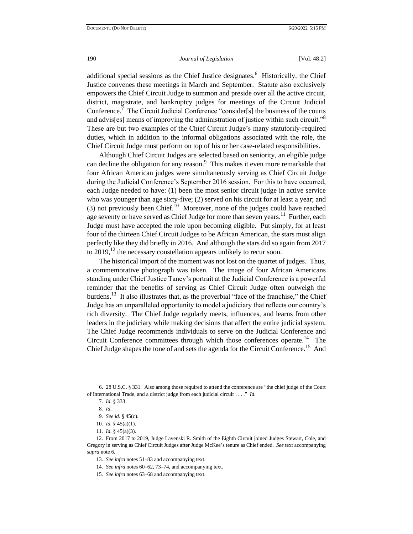additional special sessions as the Chief Justice designates.<sup>6</sup> Historically, the Chief Justice convenes these meetings in March and September. Statute also exclusively empowers the Chief Circuit Judge to summon and preside over all the active circuit, district, magistrate, and bankruptcy judges for meetings of the Circuit Judicial Conference.<sup>7</sup> The Circuit Judicial Conference "consider[s] the business of the courts and advis[es] means of improving the administration of justice within such circuit." $8$ These are but two examples of the Chief Circuit Judge's many statutorily-required duties, which in addition to the informal obligations associated with the role, the Chief Circuit Judge must perform on top of his or her case-related responsibilities.

Although Chief Circuit Judges are selected based on seniority, an eligible judge can decline the obligation for any reason.<sup>9</sup> This makes it even more remarkable that four African American judges were simultaneously serving as Chief Circuit Judge during the Judicial Conference's September 2016 session. For this to have occurred, each Judge needed to have: (1) been the most senior circuit judge in active service who was younger than age sixty-five; (2) served on his circuit for at least a year; and (3) not previously been Chief.<sup>10</sup> Moreover, none of the judges could have reached age seventy or have served as Chief Judge for more than seven years.<sup>11</sup> Further, each Judge must have accepted the role upon becoming eligible. Put simply, for at least four of the thirteen Chief Circuit Judges to be African American, the stars must align perfectly like they did briefly in 2016. And although the stars did so again from 2017 to  $2019$ ,<sup>12</sup> the necessary constellation appears unlikely to recur soon.

The historical import of the moment was not lost on the quartet of judges. Thus, a commemorative photograph was taken. The image of four African Americans standing under Chief Justice Taney's portrait at the Judicial Conference is a powerful reminder that the benefits of serving as Chief Circuit Judge often outweigh the burdens.<sup>13</sup> It also illustrates that, as the proverbial "face of the franchise," the Chief Judge has an unparalleled opportunity to model a judiciary that reflects our country's rich diversity. The Chief Judge regularly meets, influences, and learns from other leaders in the judiciary while making decisions that affect the entire judicial system. The Chief Judge recommends individuals to serve on the Judicial Conference and Circuit Conference committees through which those conferences operate.<sup>14</sup> The Chief Judge shapes the tone of and sets the agenda for the Circuit Conference.<sup>15</sup> And

<sup>6.</sup> 28 U.S.C. § 331. Also among those required to attend the conference are "the chief judge of the Court of International Trade, and a district judge from each judicial circuit . . . ." *Id.*

<sup>7</sup>*. Id.* § 333.

<sup>8</sup>*. Id.*

<sup>9</sup>*. See id.* § 45(c).

<sup>10</sup>*. Id.* § 45(a)(1).

<sup>11</sup>*. Id.* § 45(a)(3).

<sup>12.</sup> From 2017 to 2019, Judge Lavenski R. Smith of the Eighth Circuit joined Judges Stewart, Cole, and Gregory in serving as Chief Circuit Judges after Judge McKee's tenure as Chief ended. *See* text accompanying *supra* note 6.

<sup>13</sup>*. See infra* notes 51–83 and accompanying text.

<sup>14</sup>*. See infra* notes 60–62, 73–74, and accompanying text.

<sup>15</sup>*. See infra* notes 63–68 and accompanying text.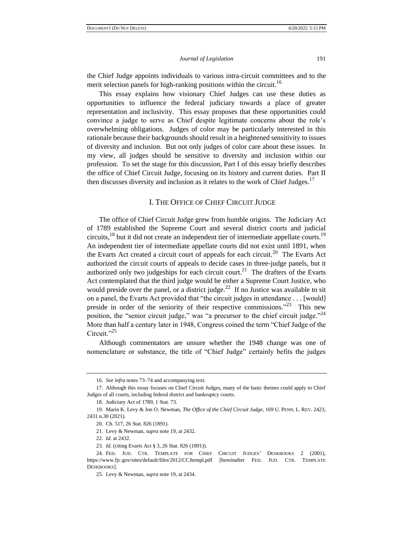the Chief Judge appoints individuals to various intra-circuit committees and to the merit selection panels for high-ranking positions within the circuit.<sup>16</sup>

This essay explains how visionary Chief Judges can use these duties as opportunities to influence the federal judiciary towards a place of greater representation and inclusivity. This essay proposes that these opportunities could convince a judge to serve as Chief despite legitimate concerns about the role's overwhelming obligations. Judges of color may be particularly interested in this rationale because their backgrounds should result in a heightened sensitivity to issues of diversity and inclusion. But not only judges of color care about these issues. In my view, all judges should be sensitive to diversity and inclusion within our profession. To set the stage for this discussion, Part I of this essay briefly describes the office of Chief Circuit Judge, focusing on its history and current duties. Part II then discusses diversity and inclusion as it relates to the work of Chief Judges.<sup>17</sup>

#### I. THE OFFICE OF CHIEF CIRCUIT JUDGE

The office of Chief Circuit Judge grew from humble origins. The Judiciary Act of 1789 established the Supreme Court and several district courts and judicial circuits,  $18$  but it did not create an independent tier of intermediate appellate courts.<sup>19</sup> An independent tier of intermediate appellate courts did not exist until 1891, when the Evarts Act created a circuit court of appeals for each circuit.<sup>20</sup> The Evarts Act authorized the circuit courts of appeals to decide cases in three-judge panels, but it authorized only two judgeships for each circuit court.<sup>21</sup> The drafters of the Evarts Act contemplated that the third judge would be either a Supreme Court Justice, who would preside over the panel, or a district judge.<sup>22</sup> If no Justice was available to sit on a panel, the Evarts Act provided that "the circuit judges in attendance . . . [would] preside in order of the seniority of their respective commissions."<sup>23</sup> This new position, the "senior circuit judge," was "a precursor to the chief circuit judge."<sup>24</sup> More than half a century later in 1948, Congress coined the term "Chief Judge of the Circuit."<sup>25</sup>

Although commentators are unsure whether the 1948 change was one of nomenclature or substance, the title of "Chief Judge" certainly befits the judges

<sup>16.</sup> *See infra* notes 73–74 and accompanying text.

<sup>17.</sup> Although this essay focuses on Chief Circuit Judges, many of the basic themes could apply to Chief Judges of all courts, including federal district and bankruptcy courts.

<sup>18.</sup> Judiciary Act of 1789, 1 Stat. 73.

<sup>19.</sup> Marin K. Levy & Jon O. Newman, *The Office of the Chief Circuit Judge*, 169 U. PENN. L. REV. 2423, 2431 n.30 (2021).

<sup>20.</sup> Ch. 517, 26 Stat. 826 (1891).

<sup>21.</sup> Levy & Newman, *supra* note 19, at 2432.

<sup>22</sup>*. Id.* at 2432.

<sup>23</sup>*. Id.* (citing Evarts Act § 3, 26 Stat. 826 (1891)).

<sup>24.</sup> FED. JUD. CTR. TEMPLATE FOR CHIEF CIRCUIT JUDGES' DESKBOOKS 2 (2001), <https://www.fjc.gov/sites/default/files/2012/CCJtempl.pdf> [hereinafter FED. JUD. CTR. TEMPLATE DESKBOOKS].

<sup>25.</sup> Levy & Newman, *supra* note 19, at 2434.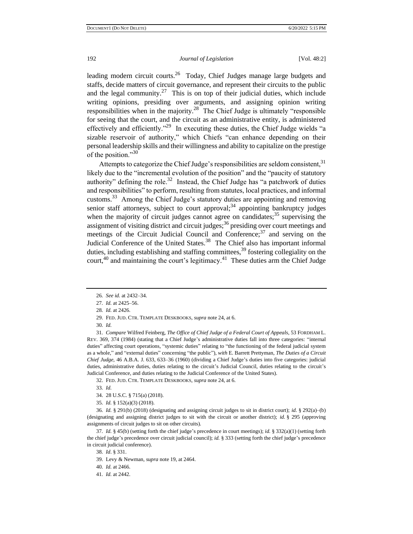leading modern circuit courts.<sup>26</sup> Today, Chief Judges manage large budgets and staffs, decide matters of circuit governance, and represent their circuits to the public and the legal community.<sup>27</sup> This is on top of their judicial duties, which include writing opinions, presiding over arguments, and assigning opinion writing responsibilities when in the majority.<sup>28</sup> The Chief Judge is ultimately "responsible" for seeing that the court, and the circuit as an administrative entity, is administered effectively and efficiently."<sup>29</sup> In executing these duties, the Chief Judge wields "a sizable reservoir of authority," which Chiefs "can enhance depending on their personal leadership skills and their willingness and ability to capitalize on the prestige of the position."<sup>30</sup>

Attempts to categorize the Chief Judge's responsibilities are seldom consistent.<sup>31</sup> likely due to the "incremental evolution of the position" and the "paucity of statutory authority" defining the role.<sup>32</sup> Instead, the Chief Judge has "a patchwork of duties and responsibilities" to perform, resulting from statutes, local practices, and informal customs.<sup>33</sup> Among the Chief Judge's statutory duties are appointing and removing senior staff attorneys, subject to court approval; $34$  appointing bankruptcy judges when the majority of circuit judges cannot agree on candidates;  $35$  supervising the assignment of visiting district and circuit judges; $36$  presiding over court meetings and meetings of the Circuit Judicial Council and Conference; $37$  and serving on the Judicial Conference of the United States.<sup>38</sup> The Chief also has important informal duties, including establishing and staffing committees,  $39$  fostering collegiality on the court, $40$  and maintaining the court's legitimacy. $41$  These duties arm the Chief Judge

31*. Compare* Wilfred Feinberg, *The Office of Chief Judge of a Federal Court of Appeals*, 53 FORDHAM L. REV. 369, 374 (1984) (stating that a Chief Judge's administrative duties fall into three categories: "internal duties" affecting court operations, "systemic duties" relating to "the functioning of the federal judicial system as a whole," and "external duties" concerning "the public"), *with* E. Barrett Prettyman, *The Duties of a Circuit Chief Judge*, 46 A.B.A. J. 633, 633–36 (1960) (dividing a Chief Judge's duties into five categories: judicial duties, administrative duties, duties relating to the circuit's Judicial Council, duties relating to the circuit's Judicial Conference, and duties relating to the Judicial Conference of the United States).

32. FED. JUD. CTR. TEMPLATE DESKBOOKS, *supra* note 24, at 6.

33*. Id.*

34. 28 U.S.C. § 715(a) (2018).

35*. Id.* § 152(a)(3) (2018).

36*. Id.* § 291(b) (2018) (designating and assigning circuit judges to sit in district court); *id.* § 292(a)–(b) (designating and assigning district judges to sit with the circuit or another district); *id.* § 295 (approving assignments of circuit judges to sit on other circuits).

37*. Id.* § 45(b) (setting forth the chief judge's precedence in court meetings); *id.* § 332(a)(1) (setting forth the chief judge's precedence over circuit judicial council); *id.* § 333 (setting forth the chief judge's precedence in circuit judicial conference).

38*. Id*. § 331.

40*. Id.* at 2466.

41*. Id.* at 2442.

<sup>26</sup>*. See id.* at 2432–34.

<sup>27</sup>*. Id.* at 2425–56.

<sup>28</sup>*. Id.* at 2426.

<sup>29.</sup> FED. JUD. CTR. TEMPLATE DESKBOOKS, *supra* note 24, at 6.

<sup>30</sup>*. Id.*

<sup>39.</sup> Levy & Newman, *supra* note 19, at 2464.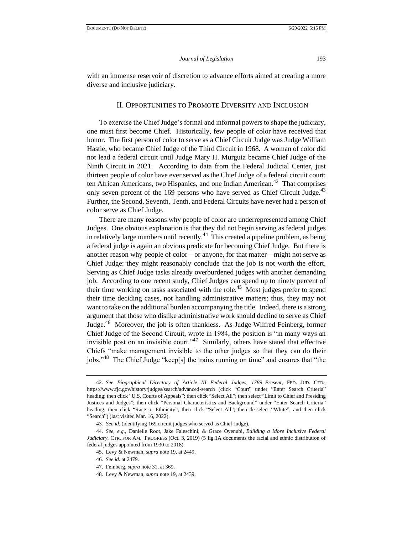with an immense reservoir of discretion to advance efforts aimed at creating a more diverse and inclusive judiciary.

#### II. OPPORTUNITIES TO PROMOTE DIVERSITY AND INCLUSION

To exercise the Chief Judge's formal and informal powers to shape the judiciary, one must first become Chief. Historically, few people of color have received that honor. The first person of color to serve as a Chief Circuit Judge was Judge William Hastie, who became Chief Judge of the Third Circuit in 1968. A woman of color did not lead a federal circuit until Judge Mary H. Murguia became Chief Judge of the Ninth Circuit in 2021. According to data from the Federal Judicial Center, just thirteen people of color have ever served as the Chief Judge of a federal circuit court: ten African Americans, two Hispanics, and one Indian American.<sup>42</sup> That comprises only seven percent of the  $169$  persons who have served as Chief Circuit Judge.<sup>43</sup> Further, the Second, Seventh, Tenth, and Federal Circuits have never had a person of color serve as Chief Judge.

There are many reasons why people of color are underrepresented among Chief Judges. One obvious explanation is that they did not begin serving as federal judges in relatively large numbers until recently.<sup>44</sup> This created a pipeline problem, as being a federal judge is again an obvious predicate for becoming Chief Judge. But there is another reason why people of color—or anyone, for that matter—might not serve as Chief Judge: they might reasonably conclude that the job is not worth the effort. Serving as Chief Judge tasks already overburdened judges with another demanding job. According to one recent study, Chief Judges can spend up to ninety percent of their time working on tasks associated with the role.<sup>45</sup> Most judges prefer to spend their time deciding cases, not handling administrative matters; thus, they may not want to take on the additional burden accompanying the title. Indeed, there is a strong argument that those who dislike administrative work should decline to serve as Chief Judge.<sup>46</sup> Moreover, the job is often thankless. As Judge Wilfred Feinberg, former Chief Judge of the Second Circuit, wrote in 1984, the position is "in many ways an invisible post on an invisible court."<sup>47</sup> Similarly, others have stated that effective Chiefs "make management invisible to the other judges so that they can do their jobs."<sup>48</sup> The Chief Judge "keep[s] the trains running on time" and ensures that "the

<sup>42</sup>*. See Biographical Directory of Article III Federal Judges, 1789–Present*, FED. JUD. CTR., https://www.fjc.gov/history/judges/search/advanced-search (click "Court" under "Enter Search Criteria" heading; then click "U.S. Courts of Appeals"; then click "Select All"; then select "Limit to Chief and Presiding Justices and Judges"; then click "Personal Characteristics and Background" under "Enter Search Criteria" heading; then click "Race or Ethnicity"; then click "Select All"; then de-select "White"; and then click "Search") (last visited Mar. 16, 2022).

<sup>43</sup>*. See id.* (identifying 169 circuit judges who served as Chief Judge).

<sup>44</sup>*. See, e.g.*, Danielle Root, Jake Faleschini, & Grace Oyenubi, *Building a More Inclusive Federal Judiciary,* CTR. FOR AM. PROGRESS (Oct. 3, 2019) (5 fig.1A documents the racial and ethnic distribution of federal judges appointed from 1930 to 2018).

<sup>45.</sup> Levy & Newman, *supra* note 19, at 2449.

<sup>46</sup>*. See id.* at 2479.

<sup>47.</sup> Feinberg, *supra* note 31, at 369.

<sup>48.</sup> Levy & Newman, *supra* note 19, at 2439.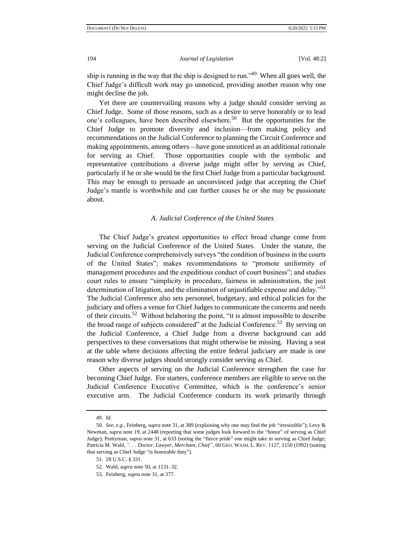ship is running in the way that the ship is designed to run."<sup>49</sup> When all goes well, the Chief Judge's difficult work may go unnoticed, providing another reason why one might decline the job.

Yet there are countervailing reasons why a judge should consider serving as Chief Judge. Some of those reasons, such as a desire to serve honorably or to lead one's colleagues, have been described elsewhere.<sup>50</sup> But the opportunities for the Chief Judge to promote diversity and inclusion—from making policy and recommendations on the Judicial Conference to planning the Circuit Conference and making appointments, among others—have gone unnoticed as an additional rationale for serving as Chief. Those opportunities couple with the symbolic and representative contributions a diverse judge might offer by serving as Chief, particularly if he or she would be the first Chief Judge from a particular background. This may be enough to persuade an unconvinced judge that accepting the Chief Judge's mantle is worthwhile and can further causes he or she may be passionate about.

#### *A. Judicial Conference of the United States*

The Chief Judge's greatest opportunities to effect broad change come from serving on the Judicial Conference of the United States. Under the statute, the Judicial Conference comprehensively surveys "the condition of business in the courts of the United States"; makes recommendations to "promote uniformity of management procedures and the expeditious conduct of court business"; and studies court rules to ensure "simplicity in procedure, fairness in administration, the just determination of litigation, and the elimination of unjustifiable expense and delay."<sup>51</sup> The Judicial Conference also sets personnel, budgetary, and ethical policies for the judiciary and offers a venue for Chief Judges to communicate the concerns and needs of their circuits.<sup>52</sup> Without belaboring the point, "it is almost impossible to describe the broad range of subjects considered" at the Judicial Conference.<sup>53</sup> By serving on the Judicial Conference, a Chief Judge from a diverse background can add perspectives to these conversations that might otherwise be missing. Having a seat at the table where decisions affecting the entire federal judiciary are made is one reason why diverse judges should strongly consider serving as Chief.

Other aspects of serving on the Judicial Conference strengthen the case for becoming Chief Judge. For starters, conference members are eligible to serve on the Judicial Conference Executive Committee, which is the conference's senior executive arm. The Judicial Conference conducts its work primarily through

<sup>49</sup>*. Id.*

<sup>50</sup>*. See*, *e.g.*, Feinberg, *supra* note 31, at 389 (explaining why one may find the job "irresistible"); Levy & Newman, *supra* note 19, at 2448 (reporting that some judges look forward to the "honor" of serving as Chief Judge); Prettyman, *supra* note 31, at 633 (noting the "fierce pride" one might take in serving as Chief Judge; Patricia M. Wald, *". . . Doctor, Lawyer, Merchant, Chief"*, 60 GEO. WASH. L. REV. 1127, 1150 (1992) (stating that serving as Chief Judge "is honorable duty").

<sup>51.</sup> 28 U.S.C. § 331.

<sup>52.</sup> Wald, *supra* note 50, at 1131–32.

<sup>53.</sup> Feinberg, *supra* note 31, at 377.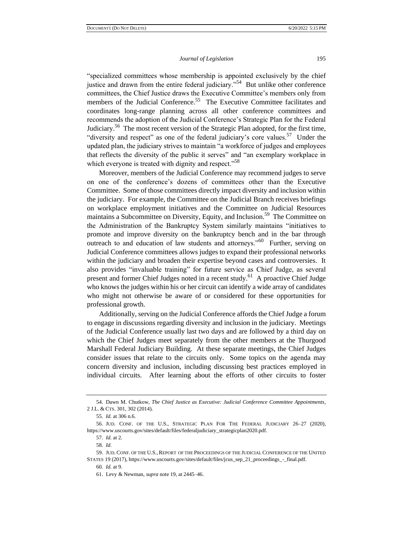"specialized committees whose membership is appointed exclusively by the chief justice and drawn from the entire federal judiciary."<sup>54</sup> But unlike other conference committees, the Chief Justice draws the Executive Committee's members only from members of the Judicial Conference.<sup>55</sup> The Executive Committee facilitates and coordinates long-range planning across all other conference committees and recommends the adoption of the Judicial Conference's Strategic Plan for the Federal Judiciary.<sup>56</sup> The most recent version of the Strategic Plan adopted, for the first time, "diversity and respect" as one of the federal judiciary's core values.<sup>57</sup> Under the updated plan, the judiciary strives to maintain "a workforce of judges and employees that reflects the diversity of the public it serves" and "an exemplary workplace in which everyone is treated with dignity and respect."<sup>58</sup>

Moreover, members of the Judicial Conference may recommend judges to serve on one of the conference's dozens of committees other than the Executive Committee. Some of those committees directly impact diversity and inclusion within the judiciary. For example, the Committee on the Judicial Branch receives briefings on workplace employment initiatives and the Committee on Judicial Resources maintains a Subcommittee on Diversity, Equity, and Inclusion.<sup>59</sup> The Committee on the Administration of the Bankruptcy System similarly maintains "initiatives to promote and improve diversity on the bankruptcy bench and in the bar through outreach to and education of law students and attorneys."<sup>60</sup> Further, serving on Judicial Conference committees allows judges to expand their professional networks within the judiciary and broaden their expertise beyond cases and controversies. It also provides "invaluable training" for future service as Chief Judge, as several present and former Chief Judges noted in a recent study.<sup>61</sup> A proactive Chief Judge who knows the judges within his or her circuit can identify a wide array of candidates who might not otherwise be aware of or considered for these opportunities for professional growth.

Additionally, serving on the Judicial Conference affords the Chief Judge a forum to engage in discussions regarding diversity and inclusion in the judiciary. Meetings of the Judicial Conference usually last two days and are followed by a third day on which the Chief Judges meet separately from the other members at the Thurgood Marshall Federal Judiciary Building. At these separate meetings, the Chief Judges consider issues that relate to the circuits only. Some topics on the agenda may concern diversity and inclusion, including discussing best practices employed in individual circuits. After learning about the efforts of other circuits to foster

<sup>54.</sup> Dawn M. Chutkow, *The Chief Justice as Executive: Judicial Conference Committee Appointments*, 2 J.L. & CTS. 301, 302 (2014).

<sup>55</sup>*. Id.* at 306 n.6.

<sup>56.</sup> JUD. CONF. OF THE U.S., STRATEGIC PLAN FOR THE FEDERAL JUDICIARY 26–27 (2020), https://www.uscourts.gov/sites/default/files/federaljudiciary\_strategicplan2020.pdf.

<sup>57</sup>*. Id.* at 2.

<sup>58</sup>*. Id.*

<sup>59.</sup> JUD. CONF. OF THE U.S.,REPORT OF THE PROCEEDINGS OF THE JUDICIAL CONFERENCE OF THE UNITED STATES 19 (2017), https://www.uscourts.gov/sites/default/files/jcus\_sep\_21\_proceedings\_-\_final.pdf.

<sup>60</sup>*. Id.* at 9.

<sup>61.</sup> Levy & Newman, *supra* note 19, at 2445–46.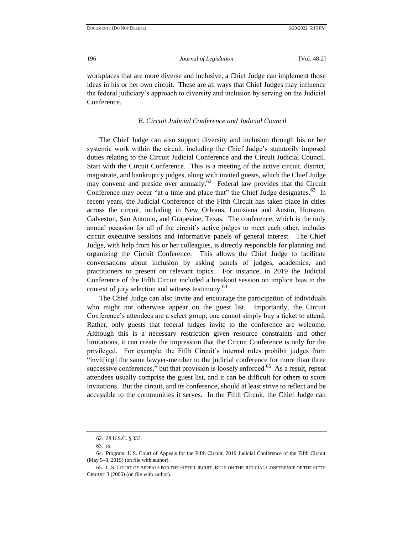workplaces that are more diverse and inclusive, a Chief Judge can implement those ideas in his or her own circuit. These are all ways that Chief Judges may influence the federal judiciary's approach to diversity and inclusion by serving on the Judicial Conference.

#### *B. Circuit Judicial Conference and Judicial Council*

The Chief Judge can also support diversity and inclusion through his or her systemic work within the circuit, including the Chief Judge's statutorily imposed duties relating to the Circuit Judicial Conference and the Circuit Judicial Council. Start with the Circuit Conference. This is a meeting of the active circuit, district, magistrate, and bankruptcy judges, along with invited guests, which the Chief Judge may convene and preside over annually.<sup>62</sup> Federal law provides that the Circuit Conference may occur "at a time and place that" the Chief Judge designates.<sup>63</sup> In recent years, the Judicial Conference of the Fifth Circuit has taken place in cities across the circuit, including in New Orleans, Louisiana and Austin, Houston, Galveston, San Antonio, and Grapevine, Texas. The conference, which is the only annual occasion for all of the circuit's active judges to meet each other, includes circuit executive sessions and informative panels of general interest. The Chief Judge, with help from his or her colleagues, is directly responsible for planning and organizing the Circuit Conference. This allows the Chief Judge to facilitate conversations about inclusion by asking panels of judges, academics, and practitioners to present on relevant topics. For instance, in 2019 the Judicial Conference of the Fifth Circuit included a breakout session on implicit bias in the context of jury selection and witness testimony.<sup>64</sup>

The Chief Judge can also invite and encourage the participation of individuals who might not otherwise appear on the guest list. Importantly, the Circuit Conference's attendees are a select group; one cannot simply buy a ticket to attend. Rather, only guests that federal judges invite to the conference are welcome. Although this is a necessary restriction given resource constraints and other limitations, it can create the impression that the Circuit Conference is only for the privileged. For example, the Fifth Circuit's internal rules prohibit judges from "invit[ing] the same lawyer-member to the judicial conference for more than three successive conferences," but that provision is loosely enforced.<sup>65</sup> As a result, repeat attendees usually comprise the guest list, and it can be difficult for others to score invitations. But the circuit, and its conference, should at least strive to reflect and be accessible to the communities it serves. In the Fifth Circuit, the Chief Judge can

<sup>62.</sup> 28 U.S.C. § 333.

<sup>63</sup>*. Id.*

<sup>64.</sup> Program, U.S. Court of Appeals for the Fifth Circuit, 2019 Judicial Conference of the Fifth Circuit (May 5–8, 2019) (on file with author).

<sup>65.</sup> U.S. COURT OF APPEALS FOR THE FIFTH CIRCUIT, RULE ON THE JUDICIAL CONFERENCE OF THE FIFTH CIRCUIT 3 (2006) (on file with author).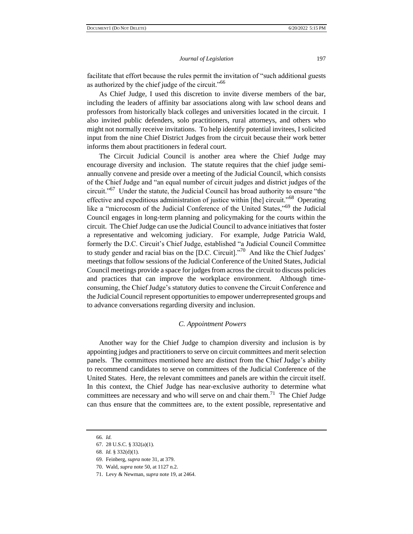facilitate that effort because the rules permit the invitation of "such additional guests as authorized by the chief judge of the circuit."<sup>66</sup>

As Chief Judge, I used this discretion to invite diverse members of the bar, including the leaders of affinity bar associations along with law school deans and professors from historically black colleges and universities located in the circuit. I also invited public defenders, solo practitioners, rural attorneys, and others who might not normally receive invitations. To help identify potential invitees, I solicited input from the nine Chief District Judges from the circuit because their work better informs them about practitioners in federal court.

The Circuit Judicial Council is another area where the Chief Judge may encourage diversity and inclusion. The statute requires that the chief judge semiannually convene and preside over a meeting of the Judicial Council, which consists of the Chief Judge and "an equal number of circuit judges and district judges of the circuit."<sup>67</sup> Under the statute, the Judicial Council has broad authority to ensure "the effective and expeditious administration of justice within [the] circuit."<sup>68</sup> Operating like a "microcosm of the Judicial Conference of the United States,"<sup>69</sup> the Judicial Council engages in long-term planning and policymaking for the courts within the circuit. The Chief Judge can use the Judicial Council to advance initiatives that foster a representative and welcoming judiciary. For example, Judge Patricia Wald, formerly the D.C. Circuit's Chief Judge, established "a Judicial Council Committee to study gender and racial bias on the [D.C. Circuit]."<sup>70</sup> And like the Chief Judges' meetings that follow sessions of the Judicial Conference of the United States, Judicial Council meetings provide a space for judges from across the circuit to discuss policies and practices that can improve the workplace environment. Although timeconsuming, the Chief Judge's statutory duties to convene the Circuit Conference and the Judicial Council represent opportunities to empower underrepresented groups and to advance conversations regarding diversity and inclusion.

#### *C. Appointment Powers*

Another way for the Chief Judge to champion diversity and inclusion is by appointing judges and practitioners to serve on circuit committees and merit selection panels. The committees mentioned here are distinct from the Chief Judge's ability to recommend candidates to serve on committees of the Judicial Conference of the United States. Here, the relevant committees and panels are within the circuit itself. In this context, the Chief Judge has near-exclusive authority to determine what committees are necessary and who will serve on and chair them.<sup>71</sup> The Chief Judge can thus ensure that the committees are, to the extent possible, representative and

<sup>66</sup>*. Id.*

<sup>67.</sup> 28 U.S.C. § 332(a)(1).

<sup>68</sup>*. Id.* § 332(d)(1).

<sup>69.</sup> Feinberg, *supra* note 31, at 379.

<sup>70.</sup> Wald, *supra* note 50, at 1127 n.2.

<sup>71.</sup> Levy & Newman, *supra* note 19, at 2464.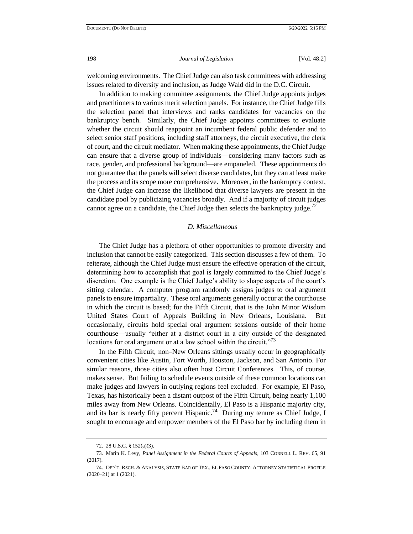welcoming environments. The Chief Judge can also task committees with addressing issues related to diversity and inclusion, as Judge Wald did in the D.C. Circuit.

In addition to making committee assignments, the Chief Judge appoints judges and practitioners to various merit selection panels. For instance, the Chief Judge fills the selection panel that interviews and ranks candidates for vacancies on the bankruptcy bench. Similarly, the Chief Judge appoints committees to evaluate whether the circuit should reappoint an incumbent federal public defender and to select senior staff positions, including staff attorneys, the circuit executive, the clerk of court, and the circuit mediator. When making these appointments, the Chief Judge can ensure that a diverse group of individuals—considering many factors such as race, gender, and professional background—are empaneled. These appointments do not guarantee that the panels will select diverse candidates, but they can at least make the process and its scope more comprehensive. Moreover, in the bankruptcy context, the Chief Judge can increase the likelihood that diverse lawyers are present in the candidate pool by publicizing vacancies broadly. And if a majority of circuit judges cannot agree on a candidate, the Chief Judge then selects the bankruptcy judge.<sup>72</sup>

#### *D. Miscellaneous*

The Chief Judge has a plethora of other opportunities to promote diversity and inclusion that cannot be easily categorized. This section discusses a few of them. To reiterate, although the Chief Judge must ensure the effective operation of the circuit, determining how to accomplish that goal is largely committed to the Chief Judge's discretion. One example is the Chief Judge's ability to shape aspects of the court's sitting calendar. A computer program randomly assigns judges to oral argument panels to ensure impartiality. These oral arguments generally occur at the courthouse in which the circuit is based; for the Fifth Circuit, that is the John Minor Wisdom United States Court of Appeals Building in New Orleans, Louisiana. But occasionally, circuits hold special oral argument sessions outside of their home courthouse—usually "either at a district court in a city outside of the designated locations for oral argument or at a law school within the circuit."<sup>73</sup>

In the Fifth Circuit, non–New Orleans sittings usually occur in geographically convenient cities like Austin, Fort Worth, Houston, Jackson, and San Antonio. For similar reasons, those cities also often host Circuit Conferences. This, of course, makes sense. But failing to schedule events outside of these common locations can make judges and lawyers in outlying regions feel excluded. For example, El Paso, Texas, has historically been a distant outpost of the Fifth Circuit, being nearly 1,100 miles away from New Orleans. Coincidentally, El Paso is a Hispanic majority city, and its bar is nearly fifty percent Hispanic.<sup>74</sup> During my tenure as Chief Judge, I sought to encourage and empower members of the El Paso bar by including them in

<sup>72.</sup> 28 U.S.C. § 152(a)(3).

<sup>73.</sup> Marin K. Levy, *Panel Assignment in the Federal Courts of Appeals*, 103 CORNELL L. REV. 65, 91 (2017).

<sup>74.</sup> DEP'T. RSCH. & ANALYSIS, STATE BAR OF TEX., EL PASO COUNTY: ATTORNEY STATISTICAL PROFILE (2020–21) at 1 (2021).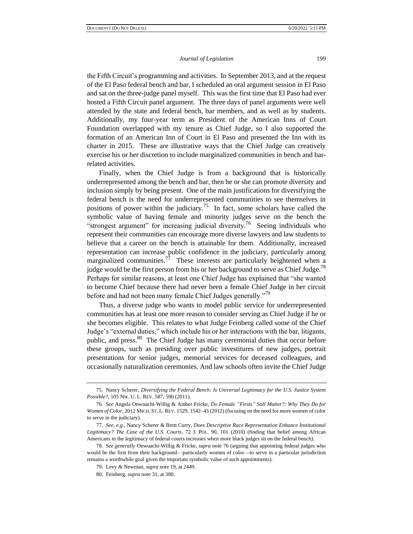the Fifth Circuit's programming and activities. In September 2013, and at the request of the El Paso federal bench and bar, I scheduled an oral argument session in El Paso and sat on the three-judge panel myself. This was the first time that El Paso had ever hosted a Fifth Circuit panel argument. The three days of panel arguments were well attended by the state and federal bench, bar members, and as well as by students. Additionally, my four-year term as President of the American Inns of Court Foundation overlapped with my tenure as Chief Judge, so I also supported the formation of an American Inn of Court in El Paso and presented the Inn with its charter in 2015. These are illustrative ways that the Chief Judge can creatively exercise his or her discretion to include marginalized communities in bench and barrelated activities.

Finally, when the Chief Judge is from a background that is historically underrepresented among the bench and bar, then he or she can promote diversity and inclusion simply by being present. One of the main justifications for diversifying the federal bench is the need for underrepresented communities to see themselves in positions of power within the judiciary.<sup>75</sup> In fact, some scholars have called the symbolic value of having female and minority judges serve on the bench the "strongest argument" for increasing judicial diversity.<sup>76</sup> Seeing individuals who represent their communities can encourage more diverse lawyers and law students to believe that a career on the bench is attainable for them. Additionally, increased representation can increase public confidence in the judiciary, particularly among marginalized communities.<sup>77</sup> These interests are particularly heightened when a judge would be the first person from his or her background to serve as Chief Judge.<sup>78</sup> Perhaps for similar reasons, at least one Chief Judge has explained that "she wanted to become Chief because there had never been a female Chief Judge in her circuit before and had not been many female Chief Judges generally."<sup>79</sup>

Thus, a diverse judge who wants to model public service for underrepresented communities has at least one more reason to consider serving as Chief Judge if he or she becomes eligible. This relates to what Judge Feinberg called some of the Chief Judge's "external duties," which include his or her interactions with the bar, litigants, public, and press.<sup>80</sup> The Chief Judge has many ceremonial duties that occur before these groups, such as presiding over public investitures of new judges, portrait presentations for senior judges, memorial services for deceased colleagues, and occasionally naturalization ceremonies. And law schools often invite the Chief Judge

<sup>75.</sup> Nancy Scherer, *Diversifying the Federal Bench: Is Universal Legitimacy for the U.S. Justice System Possible?*, 105 NW. U. L. REV. 587, 590 (2011).

<sup>76</sup>*. See* Angela Onwuachi-Willig & Amber Fricke, *Do Female "Firsts" Still Matter?: Why They Do for Women of Color*, 2012 MICH. ST. L. REV. 1529, 1542–43 (2012) (focusing on the need for more women of color to serve in the judiciary).

<sup>77</sup>*. See, e.g.*, Nancy Scherer & Brett Curry, *Does Descriptive Race Representation Enhance Institutional Legitimacy? The Case of the U.S. Courts*, 72 J. POL. 90, 101 (2010) (finding that belief among African Americans in the legitimacy of federal courts increases when more black judges sit on the federal bench).

<sup>78</sup>*. See generally* Onwuachi-Willig & Fricke, *supra* note 76 (arguing that appointing federal judges who would be the first from their background—particularly women of color—to serve in a particular jurisdiction remains a worthwhile goal given the important symbolic value of such appointments).

<sup>79.</sup> Levy & Newman, *supra* note 19, at 2449.

<sup>80.</sup> Feinberg, *supra* note 31, at 380.